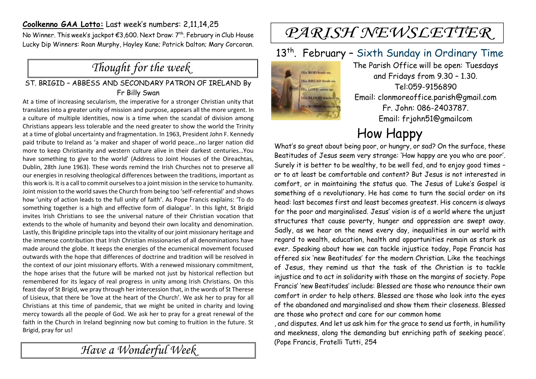#### **Coolkenno GAA Lotto:** Last week's numbers: 2,11,14,25

No Winner. This week's jackpot €3,600. Next Draw: 7<sup>th</sup>. February in Club House Lucky Dip Winners: Roan Murphy, Hayley Kane; Patrick Dalton; Mary Corcoran.

## *Thought for the week*

#### ST. BRIGID – ABBESS AND SECONDARY PATRON OF IRELAND By Fr Billy Swan

At a time of increasing secularism, the imperative for a stronger Christian unity that translates into a greater unity of mission and purpose, appears all the more urgent. In a culture of multiple identities, now is a time when the scandal of division among Christians appears less tolerable and the need greater to show the world the Trinity at a time of global uncertainty and fragmentation. In 1963, President John F. Kennedy paid tribute to Ireland as 'a maker and shaper of world peace…no larger nation did more to keep Christianity and western culture alive in their darkest centuries…You have something to give to the world' (Address to Joint Houses of the Oireachtas, Dublin, 28th June 1963). These words remind the Irish Churches not to preserve all our energies in resolving theological differences between the traditions, important as this work is. It is a call to commit ourselves to a joint mission in the service to humanity. Joint mission to the world saves the Church from being too 'self-referential' and shows how 'unity of action leads to the full unity of faith'. As Pope Francis explains: 'To do something together is a high and effective form of dialogue'. In this light, St Brigid invites Irish Christians to see the universal nature of their Christian vocation that extends to the whole of humanity and beyond their own locality and denomination. Lastly, this Brigidine principle taps into the vitality of our joint missionary heritage and the immense contribution that Irish Christian missionaries of all denominations have made around the globe. It keeps the energies of the ecumenical movement focused outwards with the hope that differences of doctrine and tradition will be resolved in the context of our joint missionary efforts. With a renewed missionary commitment, the hope arises that the future will be marked not just by historical reflection but remembered for its legacy of real progress in unity among Irish Christians. On this feast day of St Brigid, we pray through her intercession that, in the words of St Therese of Lisieux, that there be 'love at the heart of the Church'. We ask her to pray for all Christians at this time of pandemic, that we might be united in charity and loving mercy towards all the people of God. We ask her to pray for a great renewal of the faith in the Church in Ireland beginning now but coming to fruition in the future. St Brigid, pray for us!

*Have a Wonderful Week* 

# PARISH NEWSLETTER

#### 13<sup>th</sup>. February - Sixth Sunday in Ordinary Time



The Parish Office will be open: Tuesdays and Fridays from 9.30 – 1.30. Tel:059-9156890 Email: clonmoreoffice.parish@gmail.com Fr. John: 086-2403787. Email: frjohn51@gmailcom

## How Happy

What's so great about being poor, or hungry, or sad? On the surface, these Beatitudes of Jesus seem very strange: 'How happy are you who are poor'. Surely it is better to be wealthy, to be well fed, and to enjoy good times – or to at least be comfortable and content? But Jesus is not interested in comfort, or in maintaining the status quo. The Jesus of Luke's Gospel is something of a revolutionary. He has come to turn the social order on its head: last becomes first and least becomes greatest. His concern is always for the poor and marginalised. Jesus' vision is of a world where the unjust structures that cause poverty, hunger and oppression are swept away. Sadly, as we hear on the news every day, inequalities in our world with regard to wealth, education, health and opportunities remain as stark as ever. Speaking about how we can tackle injustice today, Pope Francis has offered six 'new Beatitudes' for the modern Christian. Like the teachings of Jesus, they remind us that the task of the Christian is to tackle injustice and to act in solidarity with those on the margins of society. Pope Francis' 'new Beatitudes' include: Blessed are those who renounce their own comfort in order to help others. Blessed are those who look into the eyes of the abandoned and marginalised and show them their closeness. Blessed are those who protect and care for our common home

, and disputes. And let us ask him for the grace to send us forth, in humility and meekness, along the demanding but enriching path of seeking peace'. (Pope Francis, Fratelli Tutti, 254